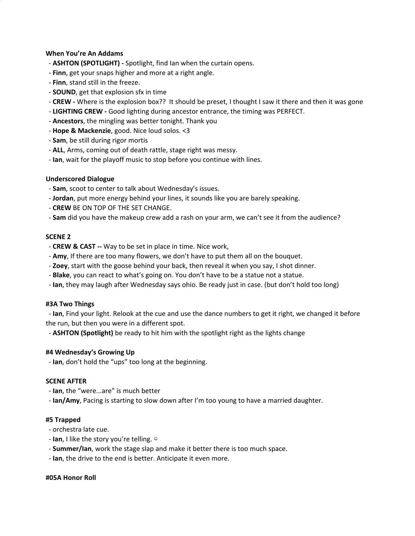# **When You're An Addams**

- **ASHTON (SPOTLIGHT) -** Spotlight, find Ian when the curtain opens.
- **Finn**, get your snaps higher and more at a right angle.
- **Finn**, stand still in the freeze.
- **SOUND**, get that explosion sfx in time
- **CREW -** Where is the explosion box?? It should be preset, I thought I saw it there and then it was gone
- **LIGHTING CREW -** Good lighting during ancestor entrance, the timing was PERFECT.
- **Ancestors**, the mingling was better tonight. Thank you
- **Hope & Mackenzie**, good. Nice loud solos. <3
- **Sam**, be still during rigor mortis
- **ALL**, Arms, coming out of death rattle, stage right was messy.
- **Ian**, wait for the playoff music to stop before you continue with lines.

## **Underscored Dialogue**

- **Sam**, scoot to center to talk about Wednesday's issues.
- **Jordan**, put more energy behind your lines, it sounds like you are barely speaking.
- **CREW** BE ON TOP OF THE SET CHANGE.
- **Sam** did you have the makeup crew add a rash on your arm, we can't see it from the audience?

## **SCENE 2**

- **CREW & CAST --** Way to be set in place in time. Nice work,
- **Amy**, If there are too many flowers, we don't have to put them all on the bouquet.
- **Zoey**, start with the goose behind your back, then reveal it when you say, I shot dinner.
- **Blake**, you can react to what's going on. You don't have to be a statue not a statue.
- **Ian**, they may laugh after Wednesday says ohio. Be ready just in case. (but don't hold too long)

## **#3A Two Things**

- **Ian**, Find your light. Relook at the cue and use the dance numbers to get it right, we changed it before the run, but then you were in a different spot.

- **ASHTON (Spotlight)** be ready to hit him with the spotlight right as the lights change

## **#4 Wednesday's Growing Up**

- **Ian**, don't hold the "ups" too long at the beginning.

## **SCENE AFTER**

- **Ian**, the "were...are" is much better

- **Ian/Amy**, Pacing is starting to slow down after I'm too young to have a married daughter.

## **#5 Trapped**

- orchestra late cue.
- **Ian**, I like the story you're telling. ☺
- **Summer/Ian**, work the stage slap and make it better there is too much space.
- **Ian**, the drive to the end is better. Anticipate it even more.

## **#05A Honor Roll**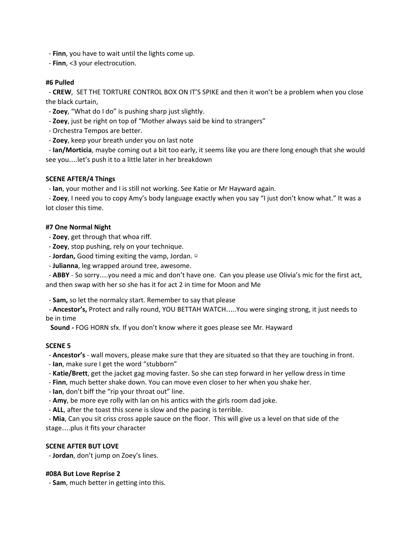- **Finn**, you have to wait until the lights come up.
- **Finn**, <3 your electrocution.

# **#6 Pulled**

- **CREW**, SET THE TORTURE CONTROL BOX ON IT'S SPIKE and then it won't be a problem when you close the black curtain,

- **Zoey**, "What do I do" is pushing sharp just slightly.
- **Zoey**, just be right on top of "Mother always said be kind to strangers"
- Orchestra Tempos are better.
- **Zoey**, keep your breath under you on last note

- **Ian/Morticia**, maybe coming out a bit too early, it seems like you are there long enough that she would see you….let's push it to a little later in her breakdown

# **SCENE AFTER/4 Things**

- **Ian**, your mother and I is still not working. See Katie or Mr Hayward again.

- **Zoey**, I need you to copy Amy's body language exactly when you say "I just don't know what." It was a lot closer this time.

# **#7 One Normal Night**

- **Zoey**, get through that whoa riff.
- **Zoey**, stop pushing, rely on your technique.
- **Jordan,** Good timing exiting the vamp, Jordan. ☺
- **Julianna**, leg wrapped around tree, awesome.

- **ABBY** - So sorry….you need a mic and don't have one. Can you please use Olivia's mic for the first act, and then swap with her so she has it for act 2 in time for Moon and Me

- **Sam,** so let the normalcy start. Remember to say that please

- **Ancestor's,** Protect and rally round, YOU BETTAH WATCH…..You were singing strong, it just needs to be in time

**Sound -** FOG HORN sfx. If you don't know where it goes please see Mr. Hayward

# **SCENE 5**

- **Ancestor's** - wall movers, please make sure that they are situated so that they are touching in front.

- **Ian**, make sure I get the word "stubborn"
- **Katie/Brett**, get the jacket gag moving faster. So she can step forward in her yellow dress in time
- **Finn**, much better shake down. You can move even closer to her when you shake her.
- **Ian**, don't biff the "rip your throat out" line.
- **Amy**, be more eye rolly with Ian on his antics with the girls room dad joke.
- **ALL**, after the toast this scene is slow and the pacing is terrible.

- **Mia**, Can you sit criss cross apple sauce on the floor. This will give us a level on that side of the stage….plus it fits your character

## **SCENE AFTER BUT LOVE**

- **Jordan**, don't jump on Zoey's lines.

# **#08A But Love Reprise 2**

- **Sam**, much better in getting into this.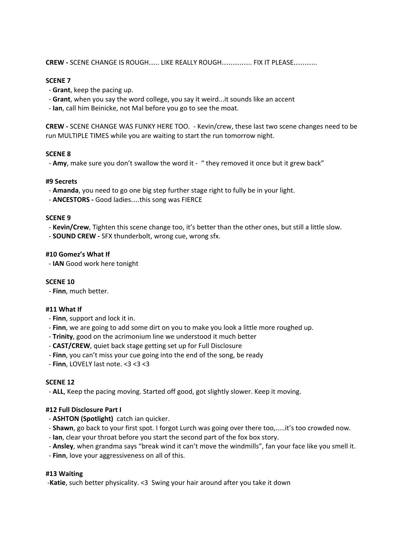**CREW -** SCENE CHANGE IS ROUGH….. LIKE REALLY ROUGH………….. FIX IT PLEASE………..

## **SCENE 7**

- **Grant**, keep the pacing up.
- **Grant**, when you say the word college, you say it weird...it sounds like an accent
- **Ian**, call him Beinicke, not Mal before you go to see the moat.

**CREW -** SCENE CHANGE WAS FUNKY HERE TOO. - Kevin/crew, these last two scene changes need to be run MULTIPLE TIMES while you are waiting to start the run tomorrow night.

## **SCENE 8**

- Amy, make sure you don't swallow the word it - " they removed it once but it grew back"

## **#9 Secrets**

- **Amanda**, you need to go one big step further stage right to fully be in your light.
- **ANCESTORS -** Good ladies….this song was FIERCE

## **SCENE 9**

- **Kevin/Crew**, Tighten this scene change too, it's better than the other ones, but still a little slow.
- **SOUND CREW -** SFX thunderbolt, wrong cue, wrong sfx.

## **#10 Gomez's What If**

- **IAN** Good work here tonight

## **SCENE 10**

- **Finn**, much better.

# **#11 What If**

- **Finn**, support and lock it in.
- **Finn**, we are going to add some dirt on you to make you look a little more roughed up.
- **Trinity**, good on the acrimonium line we understood it much better
- **CAST/CREW**, quiet back stage getting set up for Full Disclosure
- **Finn**, you can't miss your cue going into the end of the song, be ready
- **Finn**, LOVELY last note. <3 <3 <3

## **SCENE 12**

- **ALL**, Keep the pacing moving. Started off good, got slightly slower. Keep it moving.

# **#12 Full Disclosure Part I**

- **ASHTON (Spotlight)** catch ian quicker.
- **Shawn**, go back to your first spot. I forgot Lurch was going over there too,.....it's too crowded now.
- **Ian**, clear your throat before you start the second part of the fox box story.
- **Ansley**, when grandma says "break wind it can't move the windmills", fan your face like you smell it.
- **Finn**, love your aggressiveness on all of this.

## **#13 Waiting**

-**Katie**, such better physicality. <3 Swing your hair around after you take it down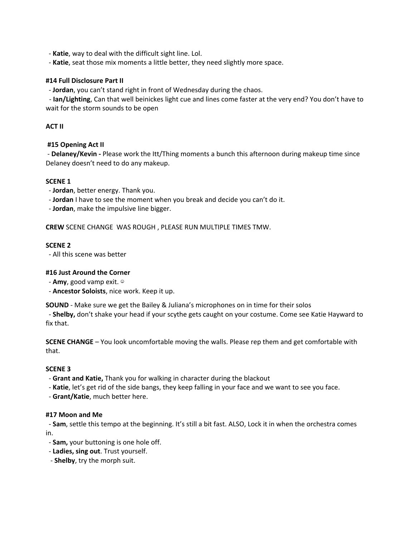- **Katie**, way to deal with the difficult sight line. Lol.

- **Katie**, seat those mix moments a little better, they need slightly more space.

## **#14 Full Disclosure Part II**

- **Jordan**, you can't stand right in front of Wednesday during the chaos.

- **Ian/Lighting**, Can that well beinickes light cue and lines come faster at the very end? You don't have to wait for the storm sounds to be open

# **ACT II**

# **#15 Opening Act II**

- **Delaney/Kevin -** Please work the Itt/Thing moments a bunch this afternoon during makeup time since Delaney doesn't need to do any makeup.

## **SCENE 1**

- **Jordan**, better energy. Thank you.
- **Jordan** I have to see the moment when you break and decide you can't do it.

- **Jordan**, make the impulsive line bigger.

**CREW** SCENE CHANGE WAS ROUGH , PLEASE RUN MULTIPLE TIMES TMW.

## **SCENE 2**

- All this scene was better

## **#16 Just Around the Corner**

- **Amy**, good vamp exit. ☺
- **Ancestor Soloists**, nice work. Keep it up.

**SOUND** - Make sure we get the Bailey & Juliana's microphones on in time for their solos

- **Shelby,** don't shake your head if your scythe gets caught on your costume. Come see Katie Hayward to fix that.

**SCENE CHANGE** – You look uncomfortable moving the walls. Please rep them and get comfortable with that.

## **SCENE 3**

- **Grant and Katie,** Thank you for walking in character during the blackout
- **Katie**, let's get rid of the side bangs, they keep falling in your face and we want to see you face.
- **Grant/Katie**, much better here.

## **#17 Moon and Me**

- **Sam**, settle this tempo at the beginning. It's still a bit fast. ALSO, Lock it in when the orchestra comes in.

- **Sam,** your buttoning is one hole off.
- **Ladies, sing out**. Trust yourself.
- **Shelby**, try the morph suit.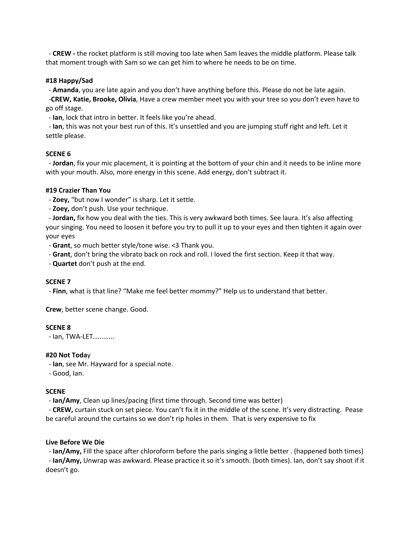- **CREW -** the rocket platform is still moving too late when Sam leaves the middle platform. Please talk that moment trough with Sam so we can get him to where he needs to be on time.

# **#18 Happy/Sad**

- **Amanda**, you are late again and you don't have anything before this. Please do not be late again.

-**CREW, Katie, Brooke, Olivia**, Have a crew member meet you with your tree so you don't even have to go off stage.

- **Ian**, lock that intro in better. It feels like you're ahead.

- **Ian**, this was not your best run of this. It's unsettled and you are jumping stuff right and left. Let it settle please.

# **SCENE 6**

- **Jordan**, fix your mic placement, it is pointing at the bottom of your chin and it needs to be inline more with your mouth. Also, more energy in this scene. Add energy, don't subtract it.

# **#19 Crazier Than You**

- **Zoey,** "but now I wonder" is sharp. Let it settle.

- **Zoey,** don't push. Use your technique.

- **Jordan,** fix how you deal with the ties. This is very awkward both times. See laura. It's also affecting your singing. You need to loosen it before you try to pull it up to your eyes and then tighten it again over your eyes

- **Grant**, so much better style/tone wise. <3 Thank you.

- **Grant**, don't bring the vibrato back on rock and roll. I loved the first section. Keep it that way.

- **Quartet** don't push at the end.

# **SCENE 7**

- **Finn**, what is that line? "Make me feel better mommy?" Help us to understand that better.

**Crew**, better scene change. Good.

# **SCENE 8**

- Ian, TWA-LET……….

# **#20 Not Toda**y

- **Ian**, see Mr. Hayward for a special note.

- Good, Ian.

# **SCENE**

- **Ian/Amy**, Clean up lines/pacing (first time through. Second time was better)

- **CREW,** curtain stuck on set piece. You can't fix it in the middle of the scene. It's very distracting. Pease be careful around the curtains so we don't rip holes in them. That is very expensive to fix

# **Live Before We Die**

- **Ian/Amy,** Fill the space after chloroform before the paris singing a little better . (happened both times) - **Ian/Amy,** Unwrap was awkward. Please practice it so it's smooth. (both times). Ian, don't say shoot if it doesn't go.